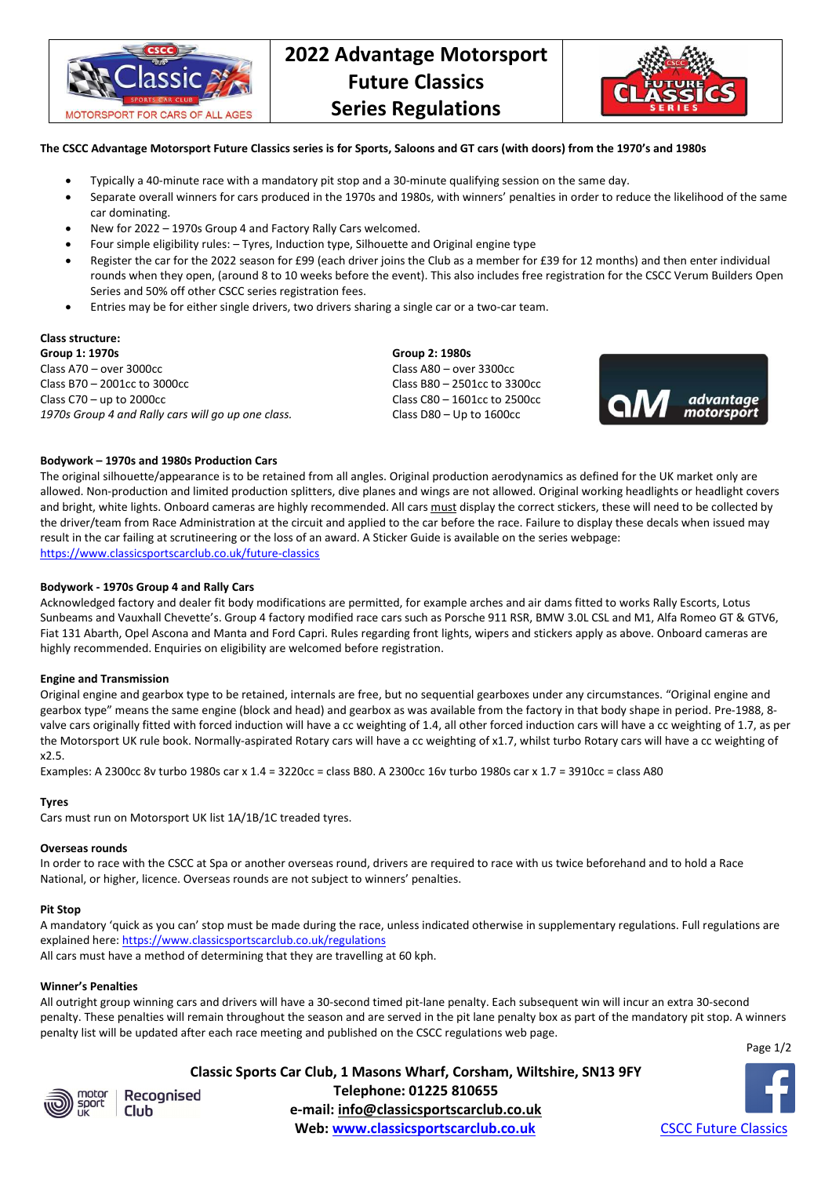

# **2022 Advantage Motorsport Future Classics Series Regulations**



## **The CSCC Advantage Motorsport Future Classics series is for Sports, Saloons and GT cars (with doors) from the 1970's and 1980s**

- Typically a 40-minute race with a mandatory pit stop and a 30-minute qualifying session on the same day.
- Separate overall winners for cars produced in the 1970s and 1980s, with winners' penalties in order to reduce the likelihood of the same car dominating.
- New for 2022 1970s Group 4 and Factory Rally Cars welcomed.
- Four simple eligibility rules: Tyres, Induction type, Silhouette and Original engine type
- Register the car for the 2022 season for £99 (each driver joins the Club as a member for £39 for 12 months) and then enter individual rounds when they open, (around 8 to 10 weeks before the event). This also includes free registration for the CSCC Verum Builders Open Series and 50% off other CSCC series registration fees.
- Entries may be for either single drivers, two drivers sharing a single car or a two-car team.

# **Class structure:**

**Group 1: 1970s Group 2: 1980s**  Class A70 – over 3000cc Class A80 – over 3300cc Class B70 – 2001cc to 3000cc Class B80 – 2501cc to 3300cc Class C70 – up to 2000 $cc$  Class C80 – 1601 $cc$  Class C80 – 1601 $cc$  to 2500 $cc$ *1970s Group 4 and Rally cars will go up one class.* Class D80 – Up to 1600cc



## **Bodywork – 1970s and 1980s Production Cars**

The original silhouette/appearance is to be retained from all angles. Original production aerodynamics as defined for the UK market only are allowed. Non-production and limited production splitters, dive planes and wings are not allowed. Original working headlights or headlight covers and bright, white lights. Onboard cameras are highly recommended. All cars must display the correct stickers, these will need to be collected by the driver/team from Race Administration at the circuit and applied to the car before the race. Failure to display these decals when issued may result in the car failing at scrutineering or the loss of an award. A Sticker Guide is available on the series webpage: https://www.classicsportscarclub.co.uk/future-classics

#### **Bodywork - 1970s Group 4 and Rally Cars**

Acknowledged factory and dealer fit body modifications are permitted, for example arches and air dams fitted to works Rally Escorts, Lotus Sunbeams and Vauxhall Chevette's. Group 4 factory modified race cars such as Porsche 911 RSR, BMW 3.0L CSL and M1, Alfa Romeo GT & GTV6, Fiat 131 Abarth, Opel Ascona and Manta and Ford Capri. Rules regarding front lights, wipers and stickers apply as above. Onboard cameras are highly recommended. Enquiries on eligibility are welcomed before registration.

#### **Engine and Transmission**

Original engine and gearbox type to be retained, internals are free, but no sequential gearboxes under any circumstances. "Original engine and gearbox type" means the same engine (block and head) and gearbox as was available from the factory in that body shape in period. Pre-1988, 8 valve cars originally fitted with forced induction will have a cc weighting of 1.4, all other forced induction cars will have a cc weighting of 1.7, as per the Motorsport UK rule book. Normally-aspirated Rotary cars will have a cc weighting of x1.7, whilst turbo Rotary cars will have a cc weighting of x2.5.

Examples: A 2300cc 8v turbo 1980s car x 1.4 = 3220cc = class B80. A 2300cc 16v turbo 1980s car x 1.7 = 3910cc = class A80

#### **Tyres**

Cars must run on Motorsport UK list 1A/1B/1C treaded tyres.

#### **Overseas rounds**

In order to race with the CSCC at Spa or another overseas round, drivers are required to race with us twice beforehand and to hold a Race National, or higher, licence. Overseas rounds are not subject to winners' penalties.

#### **Pit Stop**

A mandatory 'quick as you can' stop must be made during the race, unless indicated otherwise in supplementary regulations. Full regulations are explained here: https://www.classicsportscarclub.co.uk/regulations

All cars must have a method of determining that they are travelling at 60 kph.

# **Winner's Penalties**

All outright group winning cars and drivers will have a 30-second timed pit-lane penalty. Each subsequent win will incur an extra 30-second penalty. These penalties will remain throughout the season and are served in the pit lane penalty box as part of the mandatory pit stop. A winners penalty list will be updated after each race meeting and published on the CSCC regulations web page.





Club

**Classic Sports Car Club, 1 Masons Wharf, Corsham, Wiltshire, SN13 9FY Telephone: 01225 810655**  Recognised **e-mail: info@classicsportscarclub.co.uk Web: www.classicsportscarclub.co.uk CSCC Future Classics**